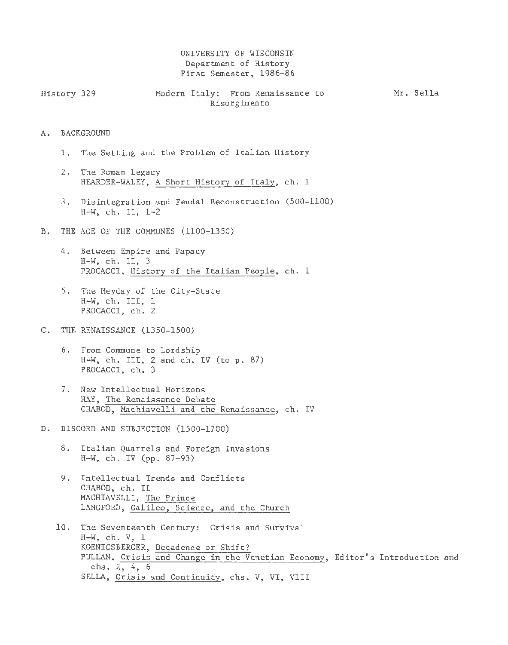## UNIVERSITY OF WISCONSIN Department of History First Semester, 1986-86

| History 329  |  |  |  | Modern Italy: From Renaissance to |  |  | Mr. Sella |
|--------------|--|--|--|-----------------------------------|--|--|-----------|
| Risorgimento |  |  |  |                                   |  |  |           |

## A. BACKGROUND

- 1. The Setting and the Problem of Italian History
- 2. The Roman Legacy HEARDER-WALEY, A Short History of Italy, ch. <sup>1</sup>
- 3. Disintegration and Feudal Reconstruction (500-1100) H-W, ch. II, 1-2
- B. THE AGE OF THE COMMUNES (1100-1350)
	- 4. Between Empire and Papacy  $H-W$ , ch. II, 3 PROCACCI, History of the Italian People, ch. <sup>1</sup>
	- 5. The Heyday of the City-State H-W, ch. III, 1 PROCACCI, ch. 2
- C. THE RENAISSANCE (1350-1500)
	- 6. From Commune to Lordship H-W, ch. III, 2 and ch. IV (to p. 87) PROCACCI, ch. 3
	- 7. New Intellectual Horizons HAY, The Renaissance Debate CHABOD, Machiavelli and the Renaissance, ch. IV
- D. DISCORD AND SUBJECTION (1500-1700)
	- 8. Italian Quarrels and Foreign Invasions H-W, ch. IV (pp. 87-93)
	- 9. Intellectual Trends and Conflicts CHABOD, ch. II MACHIAVELLI, The Prince LANGFORD, Galileo, Science, and the Church
	- 10. The Seventeenth Century: Crisis and Survival H-W, ch. V, 1 KOENIGSBERGER, Decadence or Shift? PULLAN, Crisis and Change in the Venetian Economy, Editor's Introduction and chs. 2, 4, 6 SELLA, Crisis and Continuity, chs. V, VI, VIII